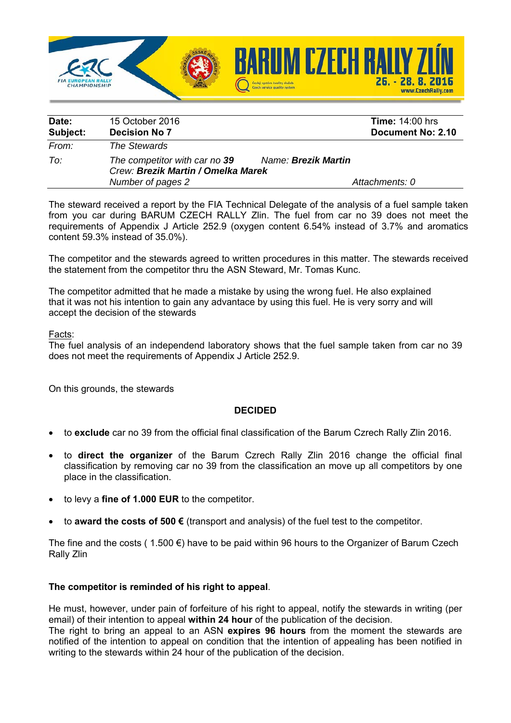

| Date:    | 15 October 2016                    | <b>Time: 14:00 hrs</b> |  |
|----------|------------------------------------|------------------------|--|
| Subject: | <b>Decision No 7</b>               | Document No: 2.10      |  |
| From:    | The Stewards                       |                        |  |
| To:      | The competitor with car no 39      | Name: Brezik Martin    |  |
|          | Crew: Brezik Martin / Omelka Marek |                        |  |
|          | Number of pages 2                  | Attachments: 0         |  |

The steward received a report by the FIA Technical Delegate of the analysis of a fuel sample taken from you car during BARUM CZECH RALLY Zlin. The fuel from car no 39 does not meet the requirements of Appendix J Article 252.9 (oxygen content 6.54% instead of 3.7% and aromatics content 59.3% instead of 35.0%).

The competitor and the stewards agreed to written procedures in this matter. The stewards received the statement from the competitor thru the ASN Steward, Mr. Tomas Kunc.

The competitor admitted that he made a mistake by using the wrong fuel. He also explained that it was not his intention to gain any advantace by using this fuel. He is very sorry and will accept the decision of the stewards

Facts:

The fuel analysis of an independend laboratory shows that the fuel sample taken from car no 39 does not meet the requirements of Appendix J Article 252.9.

On this grounds, the stewards

## **DECIDED**

- to **exclude** car no 39 from the official final classification of the Barum Czrech Rally Zlin 2016.
- to **direct the organizer** of the Barum Czrech Rally Zlin 2016 change the official final classification by removing car no 39 from the classification an move up all competitors by one place in the classification.
- to levy a **fine of 1.000 EUR** to the competitor.
- to **award the costs of 500 €** (transport and analysis) of the fuel test to the competitor.

The fine and the costs (1.500  $\epsilon$ ) have to be paid within 96 hours to the Organizer of Barum Czech Rally Zlin

## **The competitor is reminded of his right to appeal**.

He must, however, under pain of forfeiture of his right to appeal, notify the stewards in writing (per email) of their intention to appeal **within 24 hour** of the publication of the decision.

The right to bring an appeal to an ASN **expires 96 hours** from the moment the stewards are notified of the intention to appeal on condition that the intention of appealing has been notified in writing to the stewards within 24 hour of the publication of the decision.